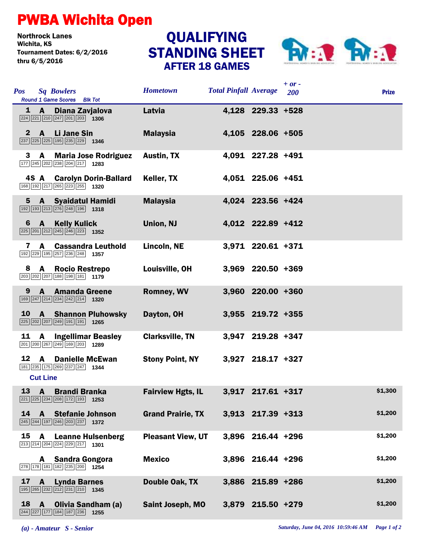## PWBA Wichita Open

Northrock Lanes Tournament Dates: 6/2/2016 thru 6/5/2016

## STANDING SHEET AFTER 18 GAMES QUALIFYING



| <b>Pos</b>      | <b>Sq Bowlers</b><br>Round 1 Game Scores Blk Tot                                                                                                | <b>Hometown</b>          | <b>Total Pinfall Average</b> |                     | $+ or -$<br>200 | <b>Prize</b> |
|-----------------|-------------------------------------------------------------------------------------------------------------------------------------------------|--------------------------|------------------------------|---------------------|-----------------|--------------|
|                 | $1 \text{ A}$<br>Diana Zavjalova<br>$\boxed{224}$ $\boxed{221}$ $\boxed{210}$ $\boxed{247}$ $\boxed{201}$ $\boxed{203}$ <b>1306</b>             | Latvia                   |                              | 4,128 229.33 +528   |                 |              |
| $\mathbf{2}$    | Li Jane Sin<br><b>A</b><br>$\boxed{237}$ $\boxed{225}$ $\boxed{225}$ $\boxed{195}$ $\boxed{235}$ $\boxed{229}$ <b>1346</b>                      | <b>Malaysia</b>          |                              | 4,105 228.06 +505   |                 |              |
|                 | <b>Maria Jose Rodriguez</b><br>$3 \text{ A}$<br>$\boxed{177}$ $\boxed{245}$ $\boxed{202}$ $\boxed{238}$ $\boxed{204}$ $\boxed{217}$ <b>1283</b> | <b>Austin, TX</b>        |                              | 4,091 227.28 +491   |                 |              |
|                 | 4S A Carolyn Dorin-Ballard<br>$\boxed{168}$ $\boxed{192}$ $\boxed{217}$ $\boxed{265}$ $\boxed{223}$ $\boxed{255}$ <b>1320</b>                   | Keller, TX               |                              | 4,051 225.06 +451   |                 |              |
|                 | 5 A Syaidatul Hamidi<br>$\boxed{192}$ $\boxed{193}$ $\boxed{213}$ $\boxed{276}$ $\boxed{248}$ $\boxed{196}$ 1318                                | <b>Malaysia</b>          |                              | 4,024 223.56 +424   |                 |              |
| 6               | $\mathbf{A}$<br><b>Kelly Kulick</b><br>$\boxed{225}\boxed{201}\boxed{212}\boxed{245}\boxed{246}\boxed{223}$ 1352                                | Union, NJ                |                              | 4,012 222.89 +412   |                 |              |
| 7               | <b>Cassandra Leuthold</b><br>A<br>192 229 195 257 236 248 1357                                                                                  | Lincoln, NE              |                              | 3,971 220.61 +371   |                 |              |
| 8               | A<br><b>Rocio Restrepo</b><br>203 202 207 188 198 181 179                                                                                       | Louisville, OH           |                              | 3,969 220.50 +369   |                 |              |
| 9               | <b>A</b> Amanda Greene<br>$\boxed{169}$ $\boxed{247}$ $\boxed{214}$ $\boxed{234}$ $\boxed{242}$ $\boxed{214}$ <b>1320</b>                       | Romney, WV               |                              | 3,960 220.00 +360   |                 |              |
| <b>10</b>       | <b>A</b> Shannon Pluhowsky<br>225 202 207 249 191 191 191                                                                                       | Dayton, OH               |                              | 3,955 219.72 +355   |                 |              |
| 11              | <b>Ingellimar Beasley</b><br>A<br>201 200 267 249 169 203 1289                                                                                  | <b>Clarksville, TN</b>   |                              | 3,947 219.28 +347   |                 |              |
|                 | 12 A<br><b>Danielle McEwan</b><br>181 235 175 269 237 247 1344<br><b>Cut Line</b>                                                               | <b>Stony Point, NY</b>   |                              | $3,927$ 218.17 +327 |                 |              |
|                 | 13 A Brandi Branka<br>221 225 234 208 172 193 1253                                                                                              | <b>Fairview Hgts, IL</b> |                              | 3,917 217.61 +317   |                 | \$1,300      |
| 14              | <b>A</b> Stefanie Johnson<br>245 244 197 246 203 237 1372                                                                                       | <b>Grand Prairie, TX</b> |                              | 3,913 217.39 +313   |                 | \$1,200      |
| 15              | <b>A</b> Leanne Hulsenberg<br>213 214 204 224 229 217 1301                                                                                      | <b>Pleasant View, UT</b> |                              | 3,896 216.44 +296   |                 | \$1,200      |
|                 | A Sandra Gongora<br>278 178 181 182 235 200 1254                                                                                                | <b>Mexico</b>            |                              | 3,896 216.44 +296   |                 | \$1,200      |
| 17 <sup>7</sup> | <b>Lynda Barnes</b><br>A<br>195 265 232 212 231 210 1345                                                                                        | Double Oak, TX           |                              | 3,886 215.89 +286   |                 | \$1,200      |
|                 | $18$ A<br><b>Olivia Sandham (a)</b><br>244 227 177 184 187 236 1255                                                                             | Saint Joseph, MO         |                              | 3,879 215.50 +279   |                 | \$1,200      |